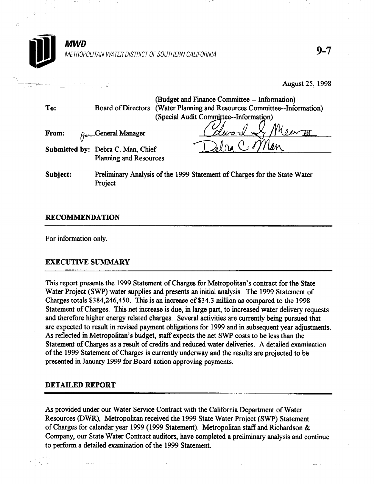

## RECOMMENDATION

For information only.

## EXECUTIVE SUMMARY

This report presents the 1999 Statement of Charges for Metropolitan's contract for the State Water Project (SWP) water supplies and presents an initial analysis. The 1999 Statement of Charges totals \$384,246,450. This is an increase of \$34.3 million as compared to the 1998 Statement of Charges. This net increase is due, in large part, to increased water delivery requests and therefore higher energy related charges. Several activities are currently being pursued that are expected to result in revised payment obligations for 1999 and in subsequent year adjustments. As reflected in Metropolitan's budget, staff expects the net SWP costs to be less than the Statement of Charges as a result of credits and reduced water deliveries. A detailed examination of the 1999 Statement of Charges is currently underway and the results are projected to be presented in January 1999 for Board action approving payments.

## DETAILED REPORT

As provided under our Water Service Contract with the California Department of Water Resources (DWR), Metropolitan received the 1999 State Water Project (SWP) Statement of Charges for calendar year 1999 (1999 Statement). Metropolitan staff and Richardson & Company, our State Water Contract auditors, have completed a preliminary analysis and continue to perform a detailed examination of the 1999 Statement.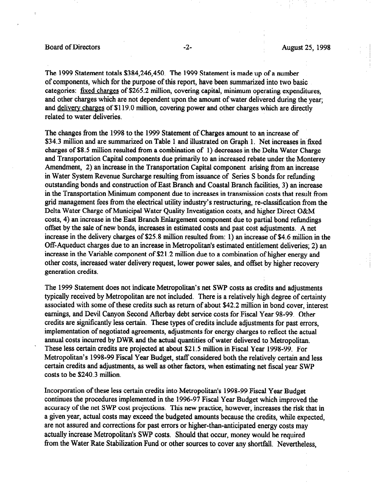#### Board of Directors -2- August 25, 1998

The 1999 Statement totals \$384,246,450. The 1999 Statement is made up of a number of components, which for the purpose of this report, have been summarized into two basic categories: fixed charges of \$265.2 million, covering capital, minimum operating expenditures, and other charges which are not dependent upon the amount of water delivered during the year; and delivery charges of \$119.0 million, covering power and other charges which are directly related to water deliveries.

The changes from the 1998 to the 1999 Statement of Charges amount to an increase of \$34.3 million and are summarized on Table 1 and illustrated on Graph 1. Net increases in fixed charges of \$8.5 million resulted from a combination of 1) decreases in the Delta Water Charge and Transportation Capital components due primarily to an increased rebate under the Monterey Amendment, 2) an increase in the Transportation Capital component arising from an increase in Water System Revenue Surcharge resulting from issuance of Series S bonds for refunding outstanding bonds and construction of East Branch and Coastal Branch facilities, 3) an increase in the Transportation Minimum component due to increases in transmission costs that result from grid management fees from the electrical utility industry's restructuring, re-classification from the Delta Water Charge of Municipal Water Quality Investigation costs, and higher Direct O&M costs, 4) an increase in the East Branch Enlargement component due to partial bond refundings offset by the sale of new bonds, increases in estimated costs and past cost adjustments. A net increase in the delivery charges of \$25.8 million resulted from: 1) an increase of \$4.6 million in the Off-Aqueduct charges due to an increase in Metropolitan's estimated entitlement deliveries; 2) an increase in the Variable component of \$21.2 million due to a combination of higher energy and other costs, increased water delivery request, lower power sales, and offset by higher recovery generation credits.

The 1999 Statement does not indicate Metropolitan's net SWP costs as credits and adjustments typically received by Metropolitan are not included. There is a relatively high degree of certainty associated with some of these credits such as return of about \$42.2 million in bond cover, interest earnings, and Devil Canyon Second Afterbay debt service costs for Fiscal Year 98-99. Other credits are significantly less certain. These types of credits include adjustments for past errors, implementation of negotiated agreements, adjustments for energy charges to reflect the actual annual costs incurred by DWR and the actual quantities of water delivered to Metropolitan. These less certain credits are projected at about \$21.5 million in Fiscal Year 1998-99. For Metropolitan's 1998-99 Fiscal Year Budget, staff considered both the relatively certain and less certain credits and adjustments, as well as other factors, when estimating net fiscal year SWP costs to be \$240.3 million.

Incorporation of these less certain credits into Metropolitan's 1998-99 Fiscal Year Budget continues the procedures implemented in the 1996-97 Fiscal Year Budget which improved the accuracy of the net SWP cost projections. This new practice, however, increases the risk that in a given year, actual costs may exceed the budgeted amounts because the credits, while expected, are not assured and corrections for past errors or higher-than-anticipated energy costs may actually increase Metropolitan's SWP costs. Should that occur, money would be required from the Water Rate Stabilization Fund or other sources to cover any shortfall. Nevertheless,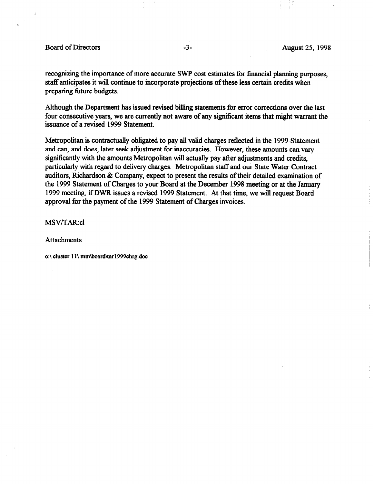recognizing the importance of more accurate SWP cost estimates for financial planning purposes, staff anticipates it will continue to incorporate projections of these less certain credits when preparing future budgets.

Although the Department has issued revised billing statements for error corrections over the last four consecutive years, we are currently not aware of any significant items that might warrant the issuance of a revised 1999 Statement.

Metropolitan is contractually obligated to pay all valid charges reflected in the 1999 Statement and can, and does, later seek adjustment for inaccuracies. However, these amounts can vary significantly with the amounts Metropolitan will actually pay after adjustments and credits, particularly with regard to delivery charges. Metropolitan staff and our State Water Contract auditors, Richardson & Company, expect to present the results of their detailed examination of the 1999 Statement of Charges to your Board at the December 1998 meeting or at the January 1999 meeting, if DWR issues a revised 1999 Statement. At that time, we will request Board approval for the payment of the 1999 Statement of Charges invoices.

MSV/TAR:cl

Attachments

o:\ cluster ll\ mm\board\tarl999chrg.doc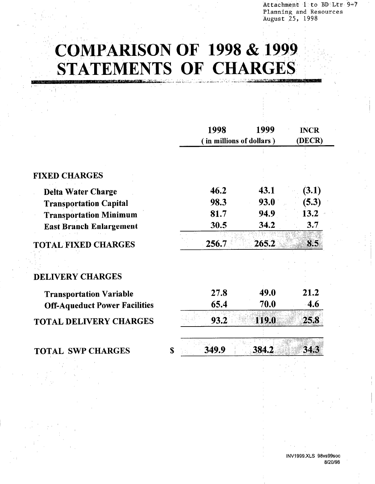Attachment 1 to BD Ltr 9-7 Planning and Resources August 25, 1998

# **COMPARISON OF 1998 & 1999** STATEMENTS OF CHARGES

|                                      | 1998                     | 1999         | <b>INCR</b> |
|--------------------------------------|--------------------------|--------------|-------------|
|                                      | (in millions of dollars) |              | (DECR)      |
|                                      |                          |              |             |
| <b>FIXED CHARGES</b>                 |                          |              |             |
| <b>Delta Water Charge</b>            | 46.2                     | 43.1         | (3.1)       |
| <b>Transportation Capital</b>        | 98.3                     | 93.0         | (5.3)       |
| <b>Transportation Minimum</b>        | 81.7                     | 94.9         | 13.2        |
| <b>East Branch Enlargement</b>       | 30.5                     | 34.2         | 3.7         |
| <b>TOTAL FIXED CHARGES</b>           | 256.7                    | 265.2        | 8.5         |
|                                      |                          |              |             |
| <b>DELIVERY CHARGES</b>              |                          |              |             |
| <b>Transportation Variable</b>       | 27.8                     | 49.0         | 21.2        |
| <b>Off-Aqueduct Power Facilities</b> | 65.4                     | 70.0         | 4.6         |
| <b>TOTAL DELIVERY CHARGES</b>        | 93.2                     | <b>119.0</b> | 25.8        |
| <b>TOTAL SWP CHARGES</b>             | \$<br>349.9              | 384.2        | 34.3        |
|                                      |                          |              |             |

INV1999.XLS 98vs99soc 8/20/98